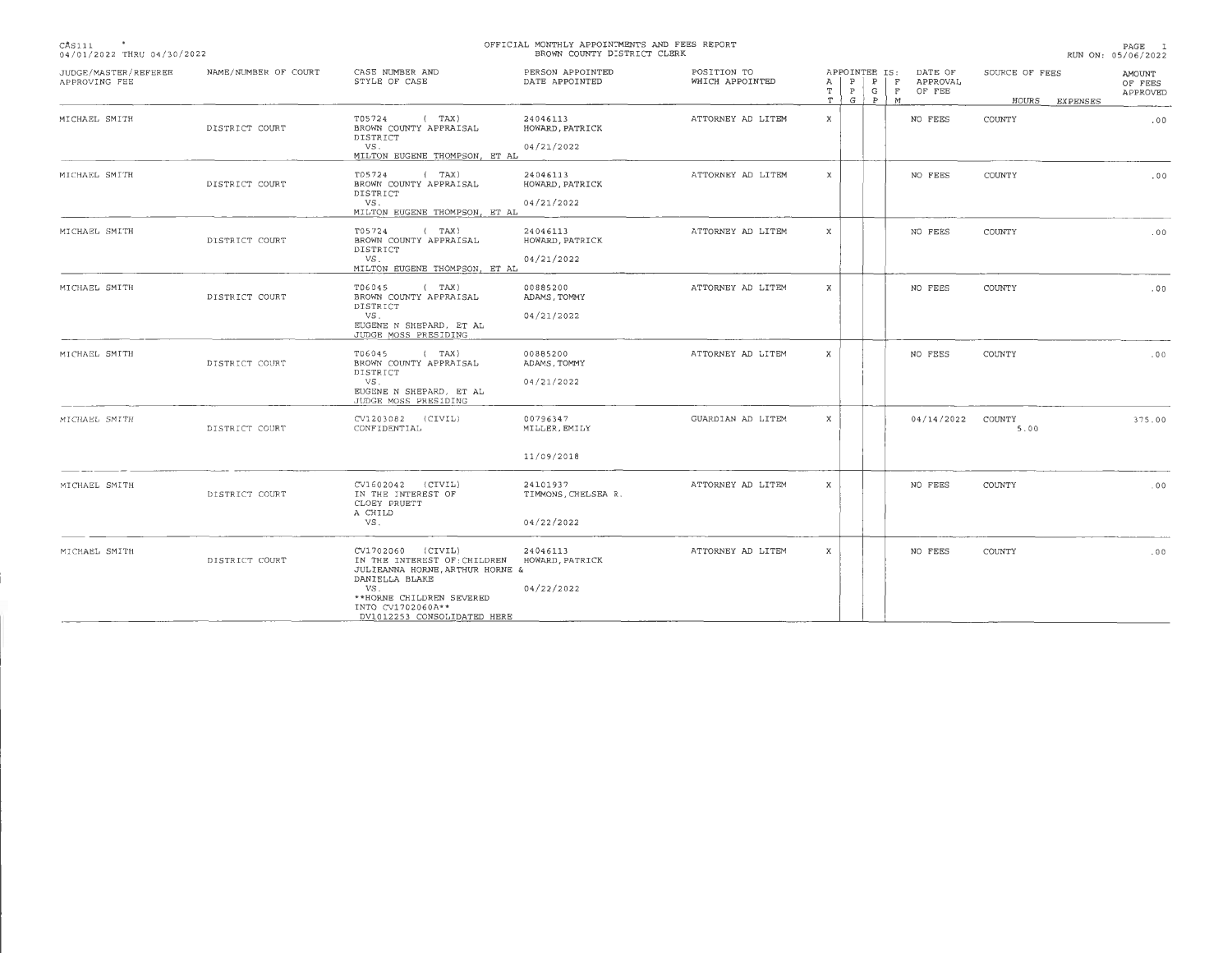| CAS111                     |  |
|----------------------------|--|
| 04/01/2022 THRU 04/30/2022 |  |

## **OFFICIAL MONTHLY APPOINTMENTS AND FEES REPORT BROWN COUNTY DISTRICT CLERK**

**PAGE 1**  RUN ON, 05/06/2022

| JUDGE/MASTER/REFEREE<br>APPROVING FEE | NAME/NUMBER OF COURT | CASE NUMBER AND<br>STYLE OF CASE                                                                                                                                                              | PERSON APPOINTED<br>DATE APPOINTED            | POSITION TO<br>WHICH APPOINTED | APPOINTEE IS:<br>$\mathbb{P}$<br>$\mathbf{P}$<br>A<br>T.<br>$\mathbb{P}$<br>G<br>T   G | DATE OF<br>F<br>APPROVAL<br>$\mathbf F$<br>OF FEE<br>P<br>M | SOURCE OF FEES<br>HOURS<br><b>EXPENSES</b> | AMOUNT<br>OF FEES<br>APPROVED |
|---------------------------------------|----------------------|-----------------------------------------------------------------------------------------------------------------------------------------------------------------------------------------------|-----------------------------------------------|--------------------------------|----------------------------------------------------------------------------------------|-------------------------------------------------------------|--------------------------------------------|-------------------------------|
| MICHAEL SMITH                         | DISTRICT COURT       | T05724<br>(TAX)<br>BROWN COUNTY APPRAISAL<br>DISTRICT<br>VS.<br>MILTON EUGENE THOMPSON, ET AL                                                                                                 | 24046113<br>HOWARD, PATRICK<br>04/21/2022     | ATTORNEY AD LITEM              | $\mathbf{x}$                                                                           | NO FEES                                                     | COUNTY                                     | .00                           |
| MICHAEL SMITH                         | DISTRICT COURT       | T05724<br>(TAX)<br>BROWN COUNTY APPRAISAL<br>DISTRICT<br>VS.<br>MILTON EUGENE THOMPSON, ET AL                                                                                                 | 24046113<br>HOWARD, PATRICK<br>04/21/2022     | ATTORNEY AD LITEM              | $\mathbf{x}$                                                                           | NO FEES                                                     | COUNTY                                     | .00                           |
| MICHAEL SMITH                         | DISTRICT COURT       | T05724<br>(TAX)<br>BROWN COUNTY APPRAISAL<br>DISTRICT<br>VS.<br>MILTON EUGENE THOMPSON, ET AL                                                                                                 | 24046113<br>HOWARD, PATRICK<br>04/21/2022     | ATTORNEY AD LITEM              | $\mathbf{x}$                                                                           | NO FEES                                                     | COUNTY                                     | .00                           |
| MICHAEL SMITH                         | DISTRICT COURT       | T06045<br>(TAX)<br>BROWN COUNTY APPRAISAL<br>DISTRICT<br>VS.<br>EUGENE N SHEPARD, ET AL<br>JUDGE MOSS PRESIDING                                                                               | 00885200<br>ADAMS, TOMMY<br>04/21/2022        | ATTORNEY AD LITEM              | $\mathbf{x}$                                                                           | NO FEES                                                     | COUNTY                                     | .00                           |
| MICHAEL SMITH                         | DISTRICT COURT       | T06045<br>(TAX)<br>BROWN COUNTY APPRAISAL<br>DISTRICT<br>VS.<br>EUGENE N SHEPARD, ET AL<br>JUDGE MOSS PRESIDING                                                                               | 00885200<br>ADAMS, TOMMY<br>04/21/2022        | ATTORNEY AD LITEM              | X                                                                                      | NO FEES                                                     | COUNTY                                     | .00                           |
| MICHAEL SMITH                         | DISTRICT COURT       | CV1203082 (CIVIL)<br>CONFIDENTIAL                                                                                                                                                             | 00796347<br>MILLER, EMILY<br>11/09/2018       | GUARDIAN AD LITEM              | X                                                                                      | 04/14/2022 COUNTY                                           | 5.00                                       | 375.00                        |
| MICHAEL SMITH                         | DISTRICT COURT       | CV1602042 (CIVIL)<br>IN THE INTEREST OF<br>CLOEY PRUETT<br>A CHILD<br>VS.                                                                                                                     | 24101937<br>TIMMONS, CHELSEA R.<br>04/22/2022 | ATTORNEY AD LITEM              | X                                                                                      | NO FEES                                                     | COUNTY                                     | .00                           |
| MICHAEL SMITH                         | DISTRICT COURT       | CV1702060 (CIVIL)<br>IN THE INTEREST OF: CHILDREN<br>JULIEANNA HORNE, ARTHUR HORNE &<br>DANIELLA BLAKE<br>VS.<br>**HORNE CHILDREN SEVERED<br>INTO CV1702060A**<br>DV1012253 CONSOLIDATED HERE | 24046113<br>HOWARD, PATRICK<br>04/22/2022     | ATTORNEY AD LITEM              | x                                                                                      | NO FEES                                                     | <b>COUNTY</b>                              | .00                           |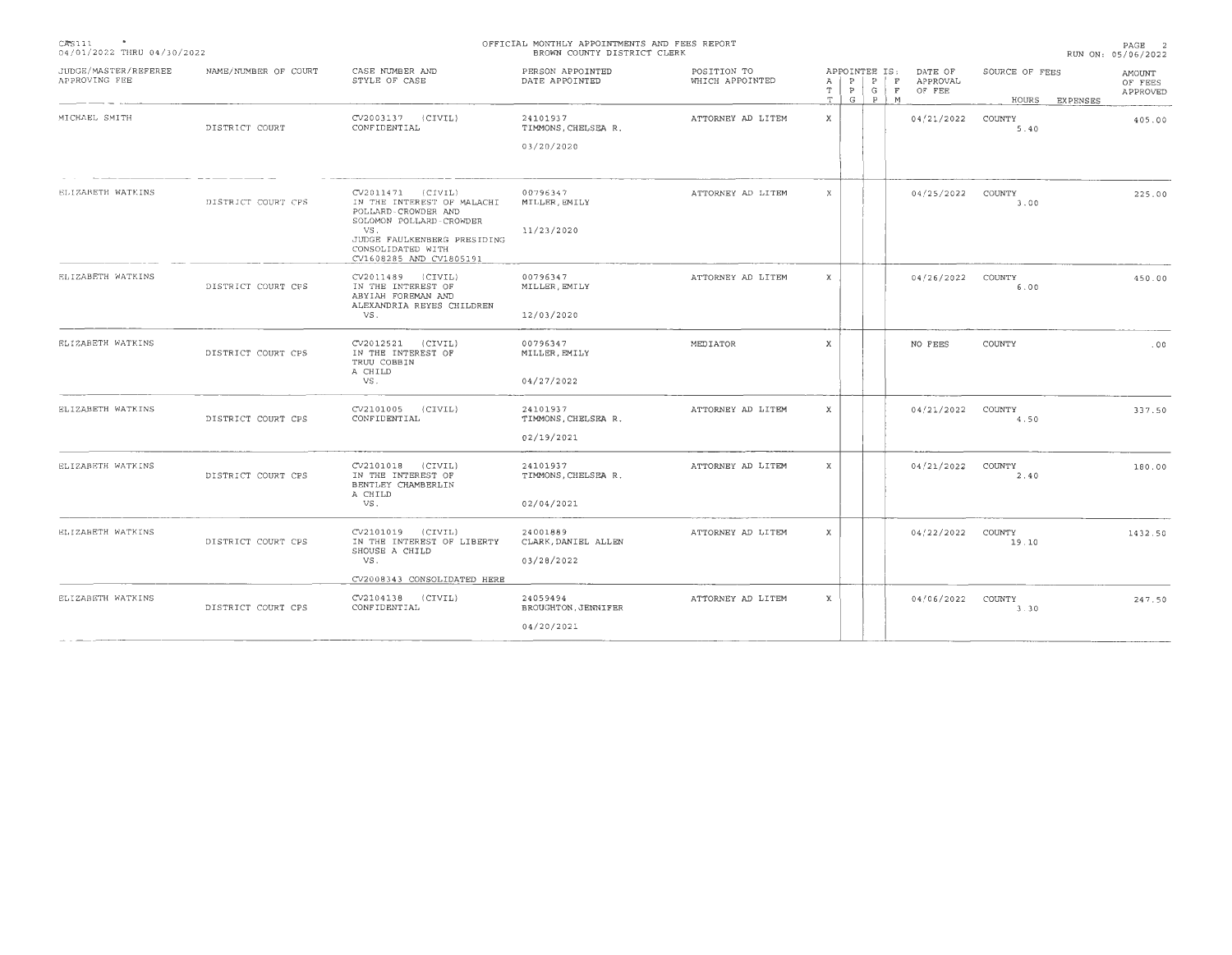| <b>State State State</b><br>CAS111<br>04/01/2022 THRU 04/30/2022 | OFFICIAL MONTHLY APPOINTMENTS AND FEES REPORT<br>BROWN COUNTY DISTRICT CLERK<br>RUN ON: 05/06/2022       |                                                                             |                                    |                                |              |  |                      |                   | PAGE 2                                          |                         |          |                               |  |
|------------------------------------------------------------------|----------------------------------------------------------------------------------------------------------|-----------------------------------------------------------------------------|------------------------------------|--------------------------------|--------------|--|----------------------|-------------------|-------------------------------------------------|-------------------------|----------|-------------------------------|--|
| JUDGE/MASTER/REFEREE<br>APPROVING FEE                            | NAME/NUMBER OF COURT                                                                                     | CASE NUMBER AND<br>STYLE OF CASE                                            | PERSON APPOINTED<br>DATE APPOINTED | POSITION TO<br>WHICH APPOINTED | A<br>T<br>T  |  | APPOINTEE IS:<br>GPM |                   | DATE OF<br>$P   P   F$ APPROVAL<br>P G F OF FEE | SOURCE OF FEES<br>HOURS | EXPENSES | AMOUNT<br>OF FEES<br>APPROVED |  |
| MICHAEL SMITH                                                    | DISTRICT COURT                                                                                           | CV2003137 (CIVIL)<br>CONFIDENTIAL                                           | 24101937<br>TIMMONS, CHELSEA R.    | ATTORNEY AD LITEM              | X            |  |                      |                   | 04/21/2022 COUNTY                               | 5.40                    |          | 405.00                        |  |
|                                                                  |                                                                                                          |                                                                             | 03/20/2020                         |                                |              |  |                      |                   |                                                 |                         |          |                               |  |
| ELIZABETH WATKINS<br>DISTRICT COURT CPS                          | CV2011471 (CIVIL)<br>IN THE INTEREST OF MALACHI<br>POLLARD-CROWDER AND<br>SOLOMON POLLARD-CROWDER<br>VS. | 00796347<br>MILLER, EMILY<br>11/23/2020                                     | ATTORNEY AD LITEM                  | X                              |              |  |                      | 04/25/2022 COUNTY | 3.00                                            |                         | 225.00   |                               |  |
|                                                                  |                                                                                                          | JUDGE FAULKENBERG PRESIDING<br>CONSOLIDATED WITH<br>CV1608285 AND CV1805191 |                                    |                                |              |  |                      |                   |                                                 |                         |          |                               |  |
| ELIZABETH WATKINS                                                | DISTRICT COURT CPS                                                                                       | CV2011489 (CIVIL)<br>IN THE INTEREST OF<br>ABYIAH FOREMAN AND               | 00796347<br>MILLER, EMILY          | ATTORNEY AD LITEM              | X            |  |                      |                   | 04/26/2022 COUNTY                               | 6.00                    |          | 450.00                        |  |
|                                                                  |                                                                                                          | ALEXANDRIA REYES CHILDREN<br>VS.                                            | 12/03/2020                         |                                |              |  |                      |                   |                                                 |                         |          |                               |  |
| ELIZABETH WATKINS                                                | DISTRICT COURT CPS                                                                                       | CV2012521 (CIVIL)<br>IN THE INTEREST OF<br>TRUU COBBIN<br>A CHILD           | 00796347<br>MILLER, EMILY          | MEDIATOR                       | X            |  |                      |                   | NO FEES                                         | COUNTY                  |          | .00                           |  |
|                                                                  |                                                                                                          | VS.                                                                         | 04/27/2022                         |                                |              |  |                      |                   |                                                 |                         |          |                               |  |
| ELIZABETH WATKINS                                                | DISTRICT COURT CPS                                                                                       | CV2101005 (CIVIL)<br>CONFIDENTIAL                                           | 24101937<br>TIMMONS, CHELSEA R.    | ATTORNEY AD LITEM              | x            |  |                      |                   | 04/21/2022 COUNTY                               | 4.50                    |          | 337.50                        |  |
|                                                                  |                                                                                                          |                                                                             | 02/19/2021                         |                                |              |  |                      |                   |                                                 |                         |          |                               |  |
| ELIZABETH WATKINS                                                | DISTRICT COURT CPS                                                                                       | CV2101018 (CIVIL)<br>IN THE INTEREST OF<br>BENTLEY CHAMBERLIN<br>A CHILD    | 24101937<br>TIMMONS, CHELSEA R.    | ATTORNEY AD LITEM              | X            |  |                      |                   | 04/21/2022                                      | COUNTY<br>2.40          |          | 180.00                        |  |
|                                                                  |                                                                                                          | VS.                                                                         | 02/04/2021                         |                                |              |  |                      |                   |                                                 |                         |          |                               |  |
| ELIZABETH WATKINS                                                | DISTRICT COURT CPS                                                                                       | CV2101019 (CIVIL)<br>IN THE INTEREST OF LIBERTY<br>SHOUSE A CHILD           | 24001889<br>CLARK, DANIEL ALLEN    | ATTORNEY AD LITEM              | $\mathbf{x}$ |  |                      |                   | 04/22/2022 COUNTY                               | 19.10                   |          | 1432.50                       |  |
|                                                                  |                                                                                                          | VS.<br>CV2008343 CONSOLIDATED HERE                                          | 03/28/2022                         |                                |              |  |                      |                   |                                                 |                         |          |                               |  |
| ELIZABETH WATKINS                                                | DISTRICT COURT CPS                                                                                       | CV2104138 (CIVIL)<br>CONFIDENTIAL                                           | 24059494<br>BROUGHTON, JENNIFER    | ATTORNEY AD LITEM              | X            |  |                      |                   | 04/06/2022 COUNTY                               | 3.30                    |          | 247.50                        |  |
|                                                                  |                                                                                                          |                                                                             | 04/20/2021                         |                                |              |  |                      |                   |                                                 |                         |          |                               |  |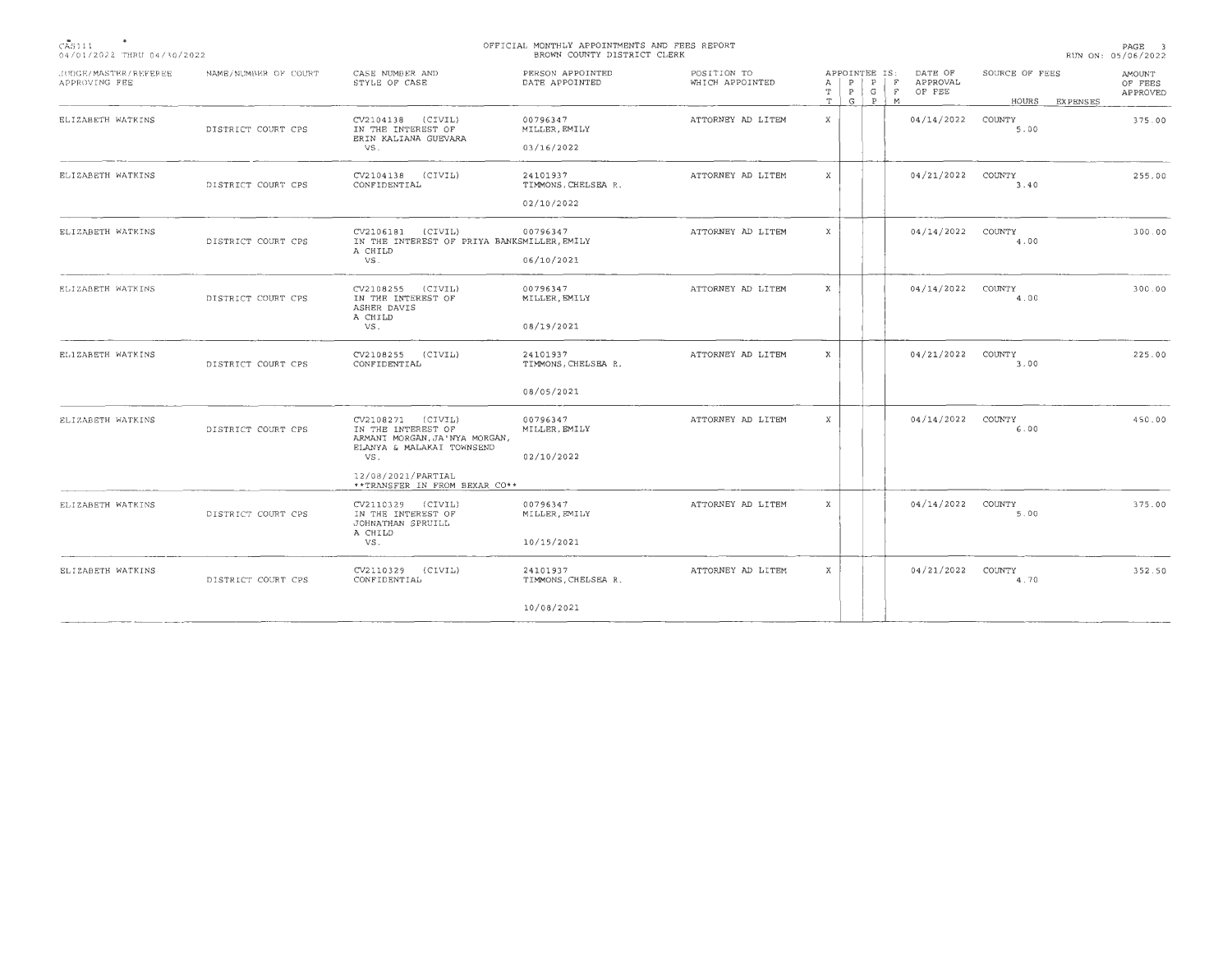| CAS111                     |  |
|----------------------------|--|
| 04/01/2022 THRU 04/30/2022 |  |

## **OFFICIAL MONTHLY APPOINTMENTS AND FEES REPORT BROWN COUNTY DISTRICT CLERK**

| JUDGE/MASTER/REFEREE<br>APPROVING FEE | NAME/NUMBER OF COURT | CASE NUMBER AND<br>STYLE OF CASE                                                                                                   | PERSON APPOINTED<br>DATE APPOINTED                    | POSITION TO<br>WHICH APPOINTED | APPOINTEE IS:<br>P<br>P<br>А<br>$P$ $G$<br>т<br>G   P   M<br>$\mathbf T$ | DATE OF<br>F<br>APPROVAL<br>F<br>OF FEE | SOURCE OF FEES<br>HOURS EXPENSES | <b>AMOUNT</b><br>OF FEES<br>APPROVED |
|---------------------------------------|----------------------|------------------------------------------------------------------------------------------------------------------------------------|-------------------------------------------------------|--------------------------------|--------------------------------------------------------------------------|-----------------------------------------|----------------------------------|--------------------------------------|
| ELIZABETH WATKINS                     | DISTRICT COURT CPS   | CV2104138 (CIVIL)<br>IN THE INTEREST OF<br>ERIN KALIANA GUEVARA<br>VS.                                                             | 00796347<br>MILLER, EMILY<br>03/16/2022               | ATTORNEY AD LITEM              | $\mathbf{x}$                                                             | 04/14/2022                              | COUNTY<br>5.00                   | 375.00                               |
| ELIZABETH WATKINS                     | DISTRICT COURT CPS   | $CV2104138$ $(CIVIL)$<br>CONFIDENTIAL                                                                                              | 24101937<br>TIMMONS, CHELSEA R.<br>02/10/2022         | ATTORNEY AD LITEM              | X                                                                        | 04/21/2022                              | COUNTY<br>3.40                   | 255.00                               |
| ELIZABETH WATKINS                     | DISTRICT COURT CPS   | CV2106181 (CIVIL)<br>IN THE INTEREST OF PRIYA BANKSMILLER, EMILY<br>A CHILD<br>VS.                                                 | 00796347<br>06/10/2021                                | ATTORNEY AD LITEM              | X                                                                        | 04/14/2022                              | COUNTY<br>4.00                   | 300.00                               |
| ELIZABETH WATKINS                     | DISTRICT COURT CPS   | CV2108255 (CIVIL)<br>IN THE INTEREST OF<br>ASHER DAVIS<br>A CHILD<br>VS.                                                           | 00796347<br>MILLER, EMILY<br>08/19/2021               | ATTORNEY AD LITEM              | X                                                                        | 04/14/2022                              | COUNTY<br>4.00                   | 300.00                               |
| ELIZABETH WATKINS                     | DISTRICT COURT CPS   | CV2108255<br>(CIVIL)<br>CONFIDENTIAL                                                                                               | 24101937<br>TIMMONS, CHELSEA R.                       | ATTORNEY AD LITEM              | $\mathbf{x}$                                                             | 04/21/2022                              | COUNTY<br>3.00                   | 225.00                               |
| ELIZABETH WATKINS                     | DISTRICT COURT CPS   | CV2108271 (CIVIL)<br>IN THE INTEREST OF<br>ARMANI MORGAN, JA'NYA MORGAN,<br>ELANYA & MALAKAI TOWNSEND<br>VS.<br>12/08/2021/PARTIAL | 08/05/2021<br>00796347<br>MILLER, EMILY<br>02/10/2022 | ATTORNEY AD LITEM              | X                                                                        | 04/14/2022                              | COUNTY<br>6.00                   | 450.00                               |
| ELIZABETH WATKINS                     | DISTRICT COURT CPS   | **TRANSFER IN FROM BEXAR CO**<br>CV2110329 (CIVIL)<br>IN THE INTEREST OF<br>JOHNATHAN SPRUILL<br>A CHILD<br>VS.                    | 00796347<br>MILLER, EMILY<br>10/15/2021               | ATTORNEY AD LITEM              | X                                                                        | 04/14/2022                              | COUNTY<br>5.00                   | 375.00                               |
| ELIZABETH WATKINS                     | DISTRICT COURT CPS   | CV2110329 (CIVIL)<br>CONFIDENTIAL                                                                                                  | 24101937<br>TIMMONS, CHELSEA R.                       | ATTORNEY AD LITEM              | $\boldsymbol{\mathsf{X}}$                                                | 04/21/2022                              | COUNTY<br>4,70                   | 352.50                               |
|                                       |                      |                                                                                                                                    | 10/08/2021                                            |                                |                                                                          |                                         |                                  |                                      |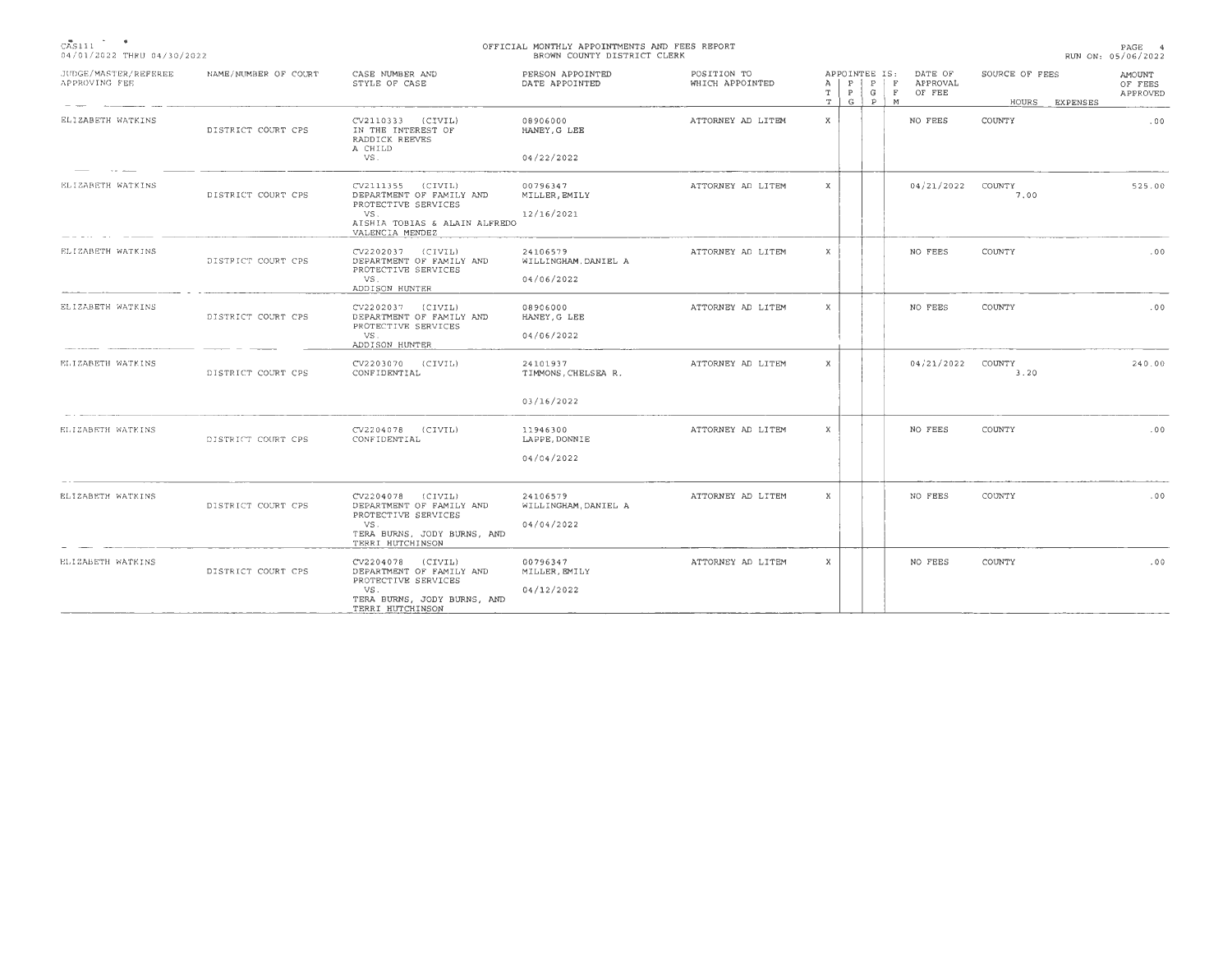| CAS111                     |  |
|----------------------------|--|
| 04/01/2022 THRU 04/30/2022 |  |

## **OFF ICIAL MONTHLY APPOINTMENTS AND FEES REPORT**  BROWN COUNTY DISTRICT CLERK

| JUDGE/MASTER/REFEREE<br>APPROVING FEE | NAME/NUMBER OF COURT | CASE NUMBER AND<br>STYLE OF CASE                                                                                                | PERSON APPOINTED<br>DATE APPOINTED             | POSITION TO<br>WHICH APPOINTED | APPOINTEE IS:<br>$\mathbf{P}$<br>P<br>$\mathbf{F}$<br>A<br>G<br>T<br>P<br>F<br>$\mathbf T$<br>G<br>P<br>M | DATE OF<br>APPROVAL<br>OF FEE | SOURCE OF FEES<br>HOURS<br><b>EXPENSES</b> | AMOUNT<br>OF FEES<br>APPROVED |
|---------------------------------------|----------------------|---------------------------------------------------------------------------------------------------------------------------------|------------------------------------------------|--------------------------------|-----------------------------------------------------------------------------------------------------------|-------------------------------|--------------------------------------------|-------------------------------|
| ELIZABETH WATKINS                     | DISTRICT COURT CPS   | CV2110333 (CIVIL)<br>IN THE INTEREST OF<br>RADDICK REEVES                                                                       | 08906000<br>HANEY, G LEE                       | ATTORNEY AD LITEM              | X                                                                                                         | NO FEES                       | COUNTY                                     | .00                           |
|                                       |                      | A CHILD<br>VS.                                                                                                                  | 04/22/2022                                     |                                |                                                                                                           |                               |                                            |                               |
| ELIZABETH WATKINS                     | DISTRICT COURT CPS   | CV2111355 (CIVIL)<br>DEPARTMENT OF FAMILY AND<br>PROTECTIVE SERVICES<br>VS.<br>AISHIA TOBIAS & ALAIN ALFREDO<br>VALENCIA MENDEZ | 00796347<br>MILLER, EMILY<br>12/16/2021        | ATTORNEY AD LITEM              | X                                                                                                         | 04/21/2022                    | COUNTY<br>7,00                             | 525.00                        |
| ELIZABETH WATKINS                     | DISTRICT COURT CPS   | CV2202037 (CIVIL)<br>DEPARTMENT OF FAMILY AND<br>PROTECTIVE SERVICES<br>VS.<br>ADDISON HUNTER                                   | 24106579<br>WILLINGHAM, DANIEL A<br>04/06/2022 | ATTORNEY AD LITEM              | X                                                                                                         | NO FEES                       | COUNTY                                     | .00                           |
| ELIZABETH WATKINS                     | DISTRICT COURT CPS   | CV2202037 (CIVIL)<br>DEPARTMENT OF FAMILY AND<br>PROTECTIVE SERVICES<br>VS.<br>ADDISON HUNTER                                   | 08906000<br>HANEY, G LEE<br>04/06/2022         | ATTORNEY AD LITEM              | X                                                                                                         | NO FEES                       | COUNTY                                     | .00                           |
| ELIZABETH WATKINS                     | DISTRICT COURT CPS   | CV2203070 (CIVIL)<br>CONFIDENTIAL                                                                                               | 24101937<br>TIMMONS, CHELSEA R.                | ATTORNEY AD LITEM              | X                                                                                                         | 04/21/2022                    | COUNTY<br>3.20                             | 240.00                        |
|                                       |                      |                                                                                                                                 | 03/16/2022                                     |                                |                                                                                                           |                               |                                            |                               |
| ELIZABETH WATKINS                     | DISTRICT COURT CPS   | CV2204078 (CIVIL)<br>CONFIDENTIAL                                                                                               | 11946300<br>LAPPE, DONNIE                      | ATTORNEY AD LITEM              | X                                                                                                         | NO FEES                       | COUNTY                                     | .00                           |
|                                       |                      |                                                                                                                                 | 04/04/2022                                     |                                |                                                                                                           |                               |                                            |                               |
| ELIZABETH WATKINS                     | DISTRICT COURT CPS   | CV2204078 (CIVIL)<br>DEPARTMENT OF FAMILY AND<br>PROTECTIVE SERVICES<br>VS.<br>TERA BURNS, JODY BURNS, AND<br>TERRI HUTCHINSON  | 24106579<br>WILLINGHAM, DANIEL A<br>04/04/2022 | ATTORNEY AD LITEM              | X                                                                                                         | NO FEES                       | COUNTY                                     | .00.                          |
| ELIZABETH WATKINS                     | DISTRICT COURT CPS   | CV2204078 (CIVIL)<br>DEPARTMENT OF FAMILY AND<br>PROTECTIVE SERVICES<br>VS.<br>TERA BURNS, JODY BURNS, AND<br>TERRI HUTCHINSON  | 00796347<br>MILLER, EMILY<br>04/12/2022        | ATTORNEY AD LITEM              | X                                                                                                         | NO FEES                       | COUNTY                                     | .00                           |